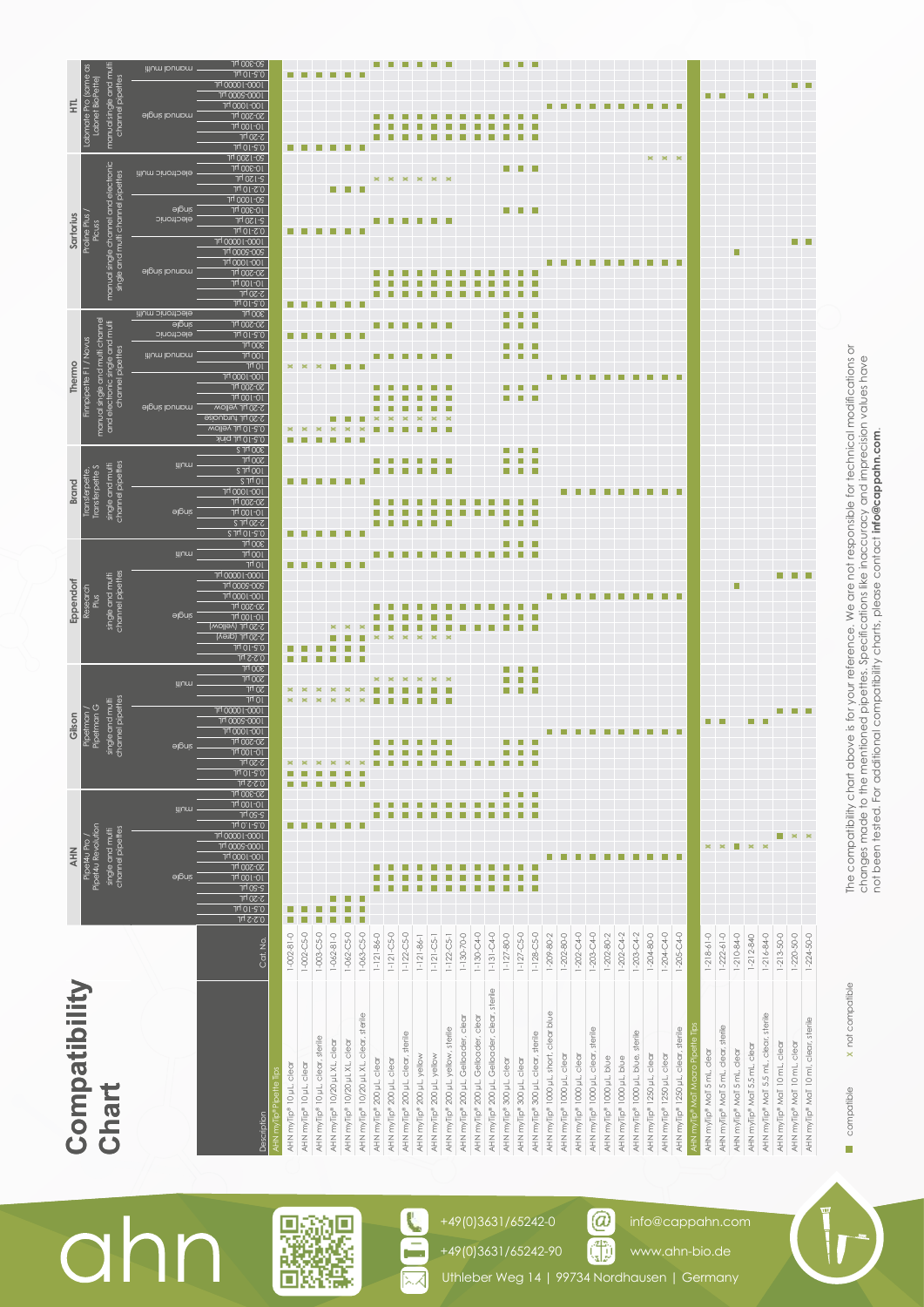|                         | algniz                                                                                                                                                                                                                                                                                                                                                                                                                                                                                                                                                                                                 | <b>HIUM</b>                                                                                                    | <b>algniz</b>                                                                                                                              | <b>HIUM</b>                                                                                                                              | <b>ajouis</b>                                                                            | illum                                                                                                                                              | algniz                                                           | <b>HIUM</b>                                                                              |                                                                                                                                                    |                                                                                                                |                                                                                                                       |                                                                                                                                                            | <b>ajbuis</b>                                                                                                                                                 |                                                                                                                                                                          | illum lounnm                                                                                                                                                                                                                                |
|-------------------------|--------------------------------------------------------------------------------------------------------------------------------------------------------------------------------------------------------------------------------------------------------------------------------------------------------------------------------------------------------------------------------------------------------------------------------------------------------------------------------------------------------------------------------------------------------------------------------------------------------|----------------------------------------------------------------------------------------------------------------|--------------------------------------------------------------------------------------------------------------------------------------------|------------------------------------------------------------------------------------------------------------------------------------------|------------------------------------------------------------------------------------------|----------------------------------------------------------------------------------------------------------------------------------------------------|------------------------------------------------------------------|------------------------------------------------------------------------------------------|----------------------------------------------------------------------------------------------------------------------------------------------------|----------------------------------------------------------------------------------------------------------------|-----------------------------------------------------------------------------------------------------------------------|------------------------------------------------------------------------------------------------------------------------------------------------------------|---------------------------------------------------------------------------------------------------------------------------------------------------------------|--------------------------------------------------------------------------------------------------------------------------------------------------------------------------|---------------------------------------------------------------------------------------------------------------------------------------------------------------------------------------------------------------------------------------------|
|                         |                                                                                                                                                                                                                                                                                                                                                                                                                                                                                                                                                                                                        |                                                                                                                |                                                                                                                                            |                                                                                                                                          |                                                                                          |                                                                                                                                                    |                                                                  |                                                                                          |                                                                                                                                                    |                                                                                                                |                                                                                                                       |                                                                                                                                                            |                                                                                                                                                               |                                                                                                                                                                          |                                                                                                                                                                                                                                             |
| Cat. No.                | <b>7-50 µL</b><br>$5-50$ hr                                                                                                                                                                                                                                                                                                                                                                                                                                                                                                                                                                            | $0.2-2$ $\mu$ L<br>Jy 02-5                                                                                     |                                                                                                                                            | $0.2-2$ $\mu$<br>$300$ pL<br>$300 \, \text{hr}$<br>1402<br>$10 \mu$                                                                      |                                                                                          | $300$ pL<br>$100\mu$<br>$10 \mu$                                                                                                                   |                                                                  | $\frac{1}{200}$ pL                                                                       |                                                                                                                                                    | $300$ pL<br>100h<br>10h                                                                                        | 2-20 µL<br>300 hr                                                                                                     |                                                                                                                                                            |                                                                                                                                                               | 2-20 µL                                                                                                                                                                  | 20-300 hr<br>0.5-10 µL<br>100001-0001<br>ו 000G-000 <sup>h</sup> ר                                                                                                                                                                          |
|                         |                                                                                                                                                                                                                                                                                                                                                                                                                                                                                                                                                                                                        |                                                                                                                |                                                                                                                                            |                                                                                                                                          |                                                                                          |                                                                                                                                                    |                                                                  |                                                                                          |                                                                                                                                                    |                                                                                                                |                                                                                                                       |                                                                                                                                                            |                                                                                                                                                               |                                                                                                                                                                          |                                                                                                                                                                                                                                             |
| г<br>$1 - 002 - 81 - 0$ |                                                                                                                                                                                                                                                                                                                                                                                                                                                                                                                                                                                                        |                                                                                                                |                                                                                                                                            | П                                                                                                                                        |                                                                                          | г<br>П                                                                                                                                             |                                                                  | П                                                                                        |                                                                                                                                                    | Ш<br>×                                                                                                         |                                                                                                                       | П                                                                                                                                                          |                                                                                                                                                               | П                                                                                                                                                                        | П                                                                                                                                                                                                                                           |
| $1-002-C5-0$            |                                                                                                                                                                                                                                                                                                                                                                                                                                                                                                                                                                                                        |                                                                                                                |                                                                                                                                            |                                                                                                                                          |                                                                                          |                                                                                                                                                    |                                                                  |                                                                                          |                                                                                                                                                    |                                                                                                                |                                                                                                                       |                                                                                                                                                            |                                                                                                                                                               |                                                                                                                                                                          |                                                                                                                                                                                                                                             |
| $1-003-C5-0$            |                                                                                                                                                                                                                                                                                                                                                                                                                                                                                                                                                                                                        |                                                                                                                |                                                                                                                                            |                                                                                                                                          |                                                                                          |                                                                                                                                                    |                                                                  |                                                                                          |                                                                                                                                                    |                                                                                                                |                                                                                                                       |                                                                                                                                                            |                                                                                                                                                               |                                                                                                                                                                          |                                                                                                                                                                                                                                             |
|                         |                                                                                                                                                                                                                                                                                                                                                                                                                                                                                                                                                                                                        |                                                                                                                |                                                                                                                                            |                                                                                                                                          |                                                                                          |                                                                                                                                                    |                                                                  |                                                                                          |                                                                                                                                                    |                                                                                                                |                                                                                                                       |                                                                                                                                                            |                                                                                                                                                               |                                                                                                                                                                          |                                                                                                                                                                                                                                             |
|                         |                                                                                                                                                                                                                                                                                                                                                                                                                                                                                                                                                                                                        |                                                                                                                |                                                                                                                                            |                                                                                                                                          |                                                                                          |                                                                                                                                                    |                                                                  |                                                                                          |                                                                                                                                                    |                                                                                                                |                                                                                                                       |                                                                                                                                                            |                                                                                                                                                               |                                                                                                                                                                          |                                                                                                                                                                                                                                             |
| $1-063-C5-0$            |                                                                                                                                                                                                                                                                                                                                                                                                                                                                                                                                                                                                        |                                                                                                                |                                                                                                                                            |                                                                                                                                          |                                                                                          |                                                                                                                                                    |                                                                  |                                                                                          |                                                                                                                                                    |                                                                                                                |                                                                                                                       |                                                                                                                                                            |                                                                                                                                                               |                                                                                                                                                                          |                                                                                                                                                                                                                                             |
| $1 - 121 - 86 - 0$      |                                                                                                                                                                                                                                                                                                                                                                                                                                                                                                                                                                                                        |                                                                                                                |                                                                                                                                            |                                                                                                                                          |                                                                                          |                                                                                                                                                    |                                                                  |                                                                                          |                                                                                                                                                    |                                                                                                                |                                                                                                                       |                                                                                                                                                            |                                                                                                                                                               |                                                                                                                                                                          |                                                                                                                                                                                                                                             |
| $1 - 121 - C5 - 0$      |                                                                                                                                                                                                                                                                                                                                                                                                                                                                                                                                                                                                        |                                                                                                                |                                                                                                                                            |                                                                                                                                          |                                                                                          |                                                                                                                                                    |                                                                  |                                                                                          |                                                                                                                                                    |                                                                                                                |                                                                                                                       |                                                                                                                                                            |                                                                                                                                                               |                                                                                                                                                                          |                                                                                                                                                                                                                                             |
| $1-122-C5-0$            |                                                                                                                                                                                                                                                                                                                                                                                                                                                                                                                                                                                                        |                                                                                                                |                                                                                                                                            |                                                                                                                                          |                                                                                          |                                                                                                                                                    |                                                                  |                                                                                          |                                                                                                                                                    |                                                                                                                |                                                                                                                       |                                                                                                                                                            |                                                                                                                                                               |                                                                                                                                                                          |                                                                                                                                                                                                                                             |
|                         |                                                                                                                                                                                                                                                                                                                                                                                                                                                                                                                                                                                                        |                                                                                                                |                                                                                                                                            |                                                                                                                                          |                                                                                          |                                                                                                                                                    |                                                                  |                                                                                          |                                                                                                                                                    |                                                                                                                |                                                                                                                       |                                                                                                                                                            |                                                                                                                                                               |                                                                                                                                                                          |                                                                                                                                                                                                                                             |
|                         |                                                                                                                                                                                                                                                                                                                                                                                                                                                                                                                                                                                                        |                                                                                                                |                                                                                                                                            |                                                                                                                                          |                                                                                          |                                                                                                                                                    |                                                                  |                                                                                          |                                                                                                                                                    |                                                                                                                |                                                                                                                       |                                                                                                                                                            |                                                                                                                                                               |                                                                                                                                                                          |                                                                                                                                                                                                                                             |
|                         |                                                                                                                                                                                                                                                                                                                                                                                                                                                                                                                                                                                                        |                                                                                                                |                                                                                                                                            |                                                                                                                                          |                                                                                          |                                                                                                                                                    |                                                                  |                                                                                          |                                                                                                                                                    |                                                                                                                |                                                                                                                       |                                                                                                                                                            |                                                                                                                                                               |                                                                                                                                                                          |                                                                                                                                                                                                                                             |
|                         |                                                                                                                                                                                                                                                                                                                                                                                                                                                                                                                                                                                                        |                                                                                                                |                                                                                                                                            |                                                                                                                                          |                                                                                          |                                                                                                                                                    |                                                                  |                                                                                          |                                                                                                                                                    |                                                                                                                |                                                                                                                       |                                                                                                                                                            |                                                                                                                                                               |                                                                                                                                                                          |                                                                                                                                                                                                                                             |
|                         |                                                                                                                                                                                                                                                                                                                                                                                                                                                                                                                                                                                                        |                                                                                                                |                                                                                                                                            |                                                                                                                                          |                                                                                          |                                                                                                                                                    |                                                                  |                                                                                          |                                                                                                                                                    |                                                                                                                |                                                                                                                       |                                                                                                                                                            |                                                                                                                                                               |                                                                                                                                                                          |                                                                                                                                                                                                                                             |
|                         |                                                                                                                                                                                                                                                                                                                                                                                                                                                                                                                                                                                                        |                                                                                                                |                                                                                                                                            |                                                                                                                                          |                                                                                          |                                                                                                                                                    |                                                                  |                                                                                          |                                                                                                                                                    |                                                                                                                |                                                                                                                       |                                                                                                                                                            |                                                                                                                                                               |                                                                                                                                                                          |                                                                                                                                                                                                                                             |
|                         |                                                                                                                                                                                                                                                                                                                                                                                                                                                                                                                                                                                                        |                                                                                                                |                                                                                                                                            |                                                                                                                                          |                                                                                          |                                                                                                                                                    |                                                                  |                                                                                          |                                                                                                                                                    |                                                                                                                |                                                                                                                       |                                                                                                                                                            |                                                                                                                                                               |                                                                                                                                                                          |                                                                                                                                                                                                                                             |
|                         |                                                                                                                                                                                                                                                                                                                                                                                                                                                                                                                                                                                                        |                                                                                                                |                                                                                                                                            |                                                                                                                                          |                                                                                          |                                                                                                                                                    |                                                                  |                                                                                          |                                                                                                                                                    |                                                                                                                |                                                                                                                       |                                                                                                                                                            |                                                                                                                                                               |                                                                                                                                                                          |                                                                                                                                                                                                                                             |
|                         |                                                                                                                                                                                                                                                                                                                                                                                                                                                                                                                                                                                                        |                                                                                                                |                                                                                                                                            |                                                                                                                                          |                                                                                          |                                                                                                                                                    |                                                                  |                                                                                          |                                                                                                                                                    |                                                                                                                |                                                                                                                       |                                                                                                                                                            |                                                                                                                                                               |                                                                                                                                                                          |                                                                                                                                                                                                                                             |
|                         |                                                                                                                                                                                                                                                                                                                                                                                                                                                                                                                                                                                                        |                                                                                                                |                                                                                                                                            |                                                                                                                                          |                                                                                          |                                                                                                                                                    |                                                                  |                                                                                          |                                                                                                                                                    |                                                                                                                |                                                                                                                       |                                                                                                                                                            |                                                                                                                                                               |                                                                                                                                                                          |                                                                                                                                                                                                                                             |
|                         |                                                                                                                                                                                                                                                                                                                                                                                                                                                                                                                                                                                                        |                                                                                                                |                                                                                                                                            |                                                                                                                                          |                                                                                          |                                                                                                                                                    |                                                                  |                                                                                          |                                                                                                                                                    |                                                                                                                |                                                                                                                       |                                                                                                                                                            |                                                                                                                                                               |                                                                                                                                                                          |                                                                                                                                                                                                                                             |
|                         |                                                                                                                                                                                                                                                                                                                                                                                                                                                                                                                                                                                                        |                                                                                                                |                                                                                                                                            |                                                                                                                                          |                                                                                          |                                                                                                                                                    |                                                                  |                                                                                          |                                                                                                                                                    |                                                                                                                |                                                                                                                       |                                                                                                                                                            |                                                                                                                                                               |                                                                                                                                                                          |                                                                                                                                                                                                                                             |
|                         |                                                                                                                                                                                                                                                                                                                                                                                                                                                                                                                                                                                                        |                                                                                                                |                                                                                                                                            |                                                                                                                                          |                                                                                          |                                                                                                                                                    |                                                                  |                                                                                          |                                                                                                                                                    |                                                                                                                |                                                                                                                       |                                                                                                                                                            |                                                                                                                                                               |                                                                                                                                                                          |                                                                                                                                                                                                                                             |
|                         |                                                                                                                                                                                                                                                                                                                                                                                                                                                                                                                                                                                                        |                                                                                                                |                                                                                                                                            |                                                                                                                                          |                                                                                          |                                                                                                                                                    |                                                                  |                                                                                          |                                                                                                                                                    |                                                                                                                |                                                                                                                       |                                                                                                                                                            |                                                                                                                                                               |                                                                                                                                                                          |                                                                                                                                                                                                                                             |
|                         |                                                                                                                                                                                                                                                                                                                                                                                                                                                                                                                                                                                                        |                                                                                                                |                                                                                                                                            |                                                                                                                                          |                                                                                          |                                                                                                                                                    |                                                                  |                                                                                          |                                                                                                                                                    |                                                                                                                |                                                                                                                       |                                                                                                                                                            |                                                                                                                                                               |                                                                                                                                                                          |                                                                                                                                                                                                                                             |
|                         |                                                                                                                                                                                                                                                                                                                                                                                                                                                                                                                                                                                                        |                                                                                                                |                                                                                                                                            |                                                                                                                                          |                                                                                          |                                                                                                                                                    |                                                                  |                                                                                          |                                                                                                                                                    |                                                                                                                |                                                                                                                       |                                                                                                                                                            |                                                                                                                                                               |                                                                                                                                                                          |                                                                                                                                                                                                                                             |
|                         |                                                                                                                                                                                                                                                                                                                                                                                                                                                                                                                                                                                                        |                                                                                                                |                                                                                                                                            |                                                                                                                                          |                                                                                          |                                                                                                                                                    |                                                                  |                                                                                          |                                                                                                                                                    |                                                                                                                |                                                                                                                       |                                                                                                                                                            |                                                                                                                                                               |                                                                                                                                                                          |                                                                                                                                                                                                                                             |
|                         |                                                                                                                                                                                                                                                                                                                                                                                                                                                                                                                                                                                                        |                                                                                                                |                                                                                                                                            |                                                                                                                                          |                                                                                          |                                                                                                                                                    |                                                                  |                                                                                          |                                                                                                                                                    |                                                                                                                |                                                                                                                       |                                                                                                                                                            |                                                                                                                                                               |                                                                                                                                                                          |                                                                                                                                                                                                                                             |
|                         |                                                                                                                                                                                                                                                                                                                                                                                                                                                                                                                                                                                                        |                                                                                                                |                                                                                                                                            |                                                                                                                                          |                                                                                          |                                                                                                                                                    |                                                                  |                                                                                          |                                                                                                                                                    |                                                                                                                |                                                                                                                       |                                                                                                                                                            |                                                                                                                                                               |                                                                                                                                                                          |                                                                                                                                                                                                                                             |
|                         |                                                                                                                                                                                                                                                                                                                                                                                                                                                                                                                                                                                                        |                                                                                                                |                                                                                                                                            |                                                                                                                                          |                                                                                          |                                                                                                                                                    |                                                                  |                                                                                          |                                                                                                                                                    |                                                                                                                |                                                                                                                       |                                                                                                                                                            |                                                                                                                                                               |                                                                                                                                                                          | г                                                                                                                                                                                                                                           |
|                         |                                                                                                                                                                                                                                                                                                                                                                                                                                                                                                                                                                                                        |                                                                                                                |                                                                                                                                            |                                                                                                                                          |                                                                                          |                                                                                                                                                    |                                                                  |                                                                                          |                                                                                                                                                    |                                                                                                                |                                                                                                                       |                                                                                                                                                            |                                                                                                                                                               |                                                                                                                                                                          |                                                                                                                                                                                                                                             |
|                         |                                                                                                                                                                                                                                                                                                                                                                                                                                                                                                                                                                                                        |                                                                                                                |                                                                                                                                            |                                                                                                                                          |                                                                                          |                                                                                                                                                    |                                                                  |                                                                                          |                                                                                                                                                    |                                                                                                                |                                                                                                                       |                                                                                                                                                            |                                                                                                                                                               |                                                                                                                                                                          |                                                                                                                                                                                                                                             |
|                         |                                                                                                                                                                                                                                                                                                                                                                                                                                                                                                                                                                                                        |                                                                                                                |                                                                                                                                            |                                                                                                                                          |                                                                                          |                                                                                                                                                    |                                                                  |                                                                                          |                                                                                                                                                    |                                                                                                                |                                                                                                                       |                                                                                                                                                            |                                                                                                                                                               |                                                                                                                                                                          |                                                                                                                                                                                                                                             |
|                         |                                                                                                                                                                                                                                                                                                                                                                                                                                                                                                                                                                                                        |                                                                                                                |                                                                                                                                            |                                                                                                                                          |                                                                                          |                                                                                                                                                    |                                                                  |                                                                                          |                                                                                                                                                    |                                                                                                                |                                                                                                                       |                                                                                                                                                            |                                                                                                                                                               |                                                                                                                                                                          |                                                                                                                                                                                                                                             |
|                         |                                                                                                                                                                                                                                                                                                                                                                                                                                                                                                                                                                                                        |                                                                                                                |                                                                                                                                            |                                                                                                                                          |                                                                                          |                                                                                                                                                    |                                                                  |                                                                                          |                                                                                                                                                    |                                                                                                                |                                                                                                                       |                                                                                                                                                            |                                                                                                                                                               |                                                                                                                                                                          |                                                                                                                                                                                                                                             |
|                         |                                                                                                                                                                                                                                                                                                                                                                                                                                                                                                                                                                                                        |                                                                                                                |                                                                                                                                            |                                                                                                                                          |                                                                                          |                                                                                                                                                    |                                                                  |                                                                                          |                                                                                                                                                    |                                                                                                                |                                                                                                                       |                                                                                                                                                            |                                                                                                                                                               |                                                                                                                                                                          |                                                                                                                                                                                                                                             |
|                         |                                                                                                                                                                                                                                                                                                                                                                                                                                                                                                                                                                                                        |                                                                                                                |                                                                                                                                            |                                                                                                                                          |                                                                                          |                                                                                                                                                    |                                                                  |                                                                                          |                                                                                                                                                    |                                                                                                                |                                                                                                                       |                                                                                                                                                            |                                                                                                                                                               |                                                                                                                                                                          |                                                                                                                                                                                                                                             |
|                         |                                                                                                                                                                                                                                                                                                                                                                                                                                                                                                                                                                                                        |                                                                                                                |                                                                                                                                            |                                                                                                                                          |                                                                                          |                                                                                                                                                    |                                                                  |                                                                                          |                                                                                                                                                    |                                                                                                                |                                                                                                                       |                                                                                                                                                            |                                                                                                                                                               |                                                                                                                                                                          |                                                                                                                                                                                                                                             |
|                         | $1-130-C4-0$<br>$1-127-C5-0$<br>$1-131-C4-0$<br>$1-202-C4-0$<br>$1-128-C5-0$<br>$1-203-C4-0$<br>$1-202-C4-2$<br>$1-203-C4-2$<br>$1-204-C4-0$<br>$1 - 216 - 84 - 0$<br>$1 - 202 - 80 - 0$<br>$1 - 220 - 50 - 0$<br>$1-062-C5-0$<br>$1 - 130 - 70 - 0$<br>$1 - 127 - 80 - 0$<br>$1 - 209 - 80 - 2$<br>$1 - 204 - 80 - 0$<br>$1 - 205 - C4 - 0$<br>$1 - 213 - 50 - 0$<br>$1 - 062 - 81 - 0$<br>$1 - 121 - C5 - 1$<br>$1-122-C5-1$<br>$1 - 202 - 80 - 2$<br>$1 - 218 - 61 - 0$<br>$1 - 222 - 61 - 0$<br>$1 - 210 - 84 - 0$<br>$1 - 224 - 50 - 0$<br>$1 - 121 - 86 - 1$<br>$1 - 212 - 840$<br>Compatibility | <b>TH 000S-0001</b><br><b>AHN</b><br>10001001<br><b>20-200 hr</b><br>10-100 hr<br><u>0.5-10 μL</u><br>0.2-2 μL | <b>70-300 hr</b><br>$10-100$ hr<br>J40.1-8.0<br>Pipet4u Pro /<br>Pipet4u Revolution<br>channel pipettes<br>single and multi<br>100001-0001 | 10005-0001<br>٦<br>$10001 - 1001$<br><b>JLI 00S-0S</b><br>L<br>$10 - 100$ hr<br>г<br>г<br>г<br>2-20 <u>וי<sup>ך</sup><br/>0.5-10 μ</u> ι | channel pipettes<br>single and mult<br>Pipetman /<br>Pipetman G<br>100001-0001<br>Gilson | <b>7H 000S-00S</b><br>Research<br>Plus<br><u>וסס-וססס ויוד</u><br><b>70-200 hr</b><br>10-100 hr<br>3-20 hr (^e  om)<br>3-30 hr (dieA)<br>0.5-10 µL | 100001-0001<br>channel pipettes<br>single and multi<br>Eppendorf | 100-1000 hr<br><b>70-200 hr</b><br>10-100 <u>hr</u><br>$2-20$ hr $2$<br>$0.5 - 10 \mu C$ | 0.5-10 µL pink<br>300 hr 2<br>channel pipettes<br>single and multi<br>Transferpette,<br>Transferpette S<br>100h<br>$S$ Jrl OI<br><b>Brand</b><br>П | <b>20-200 hr</b><br>10-100 hr<br>algniz lounnm<br>2-20 µL yellow<br>2-20 hr turquoise<br>0.5-10 µL yellow<br>× | electronic<br>$0.5 - 10 \mu L$<br>Finnpipette F1 / Novus<br>channel pipettes<br>illum lounnm<br>Thermo<br>100-1000 hr | $10 - 100$ hr<br>0.5-10 µL<br>electronic multi<br>manual single and multi channel<br>and electronic single and multi<br><b>algniz</b><br><b>JLI 00S-0S</b> | electronic<br>$5 - 120$ pL<br>$0.2 - 10 \mu L$<br>ו0000 ו־1 <sup>0</sup> 000 <sup>h</sup><br>14 0005-008<br>100-1000 hr<br>algnis lounnm<br><b>JLI 00S-0S</b> | 10-300 hr<br>electronic multi<br>single and multi channel pipettes<br>$-1100$ pL<br>$0.2 - 10 \mu L$<br>70-1000 hr<br>10-300 hr<br>Proline Plus /<br>Picuss<br>Sartorius | manual single and mult<br>Labmate Pro (same as<br>Labnet BioPette)<br>channel pipettes<br>E<br>ו00-ו000 <sup>h</sup> ר<br>algnis lounnm<br><b>Jrl 00Z-0Z</b><br>10-100 hr<br>1401-2.0<br>10-1200 hr<br>manual single channel and electronic |

The compatibility chart above is for your reference. We are not responsible for technical modifications or<br>changes made to the mentioned pipettes. Specifications like inaccuracy and imprecision values have<br>not been tested. compatible **X** not compatible The compatibility chart above is for your reference. We are not responsible for technical modifications or changes made to the mentioned pipettes. Specifications like inaccuracy and imprecision values have not been tested. For additional compatibility charts, please contact **info@cappahn.com**.

**x** not compatible

compatible  $\bar{\phantom{a}}$ 

Uthleber Weg 14 | 99734 Nordhausen | Germany

 $\circledcirc$ Œ

info@cappahn.com www.ahn-bio.de

+49(0)3631/65242-0 +49(0)3631/65242-90

L

œ

**国家の国家の開催** 

ahn